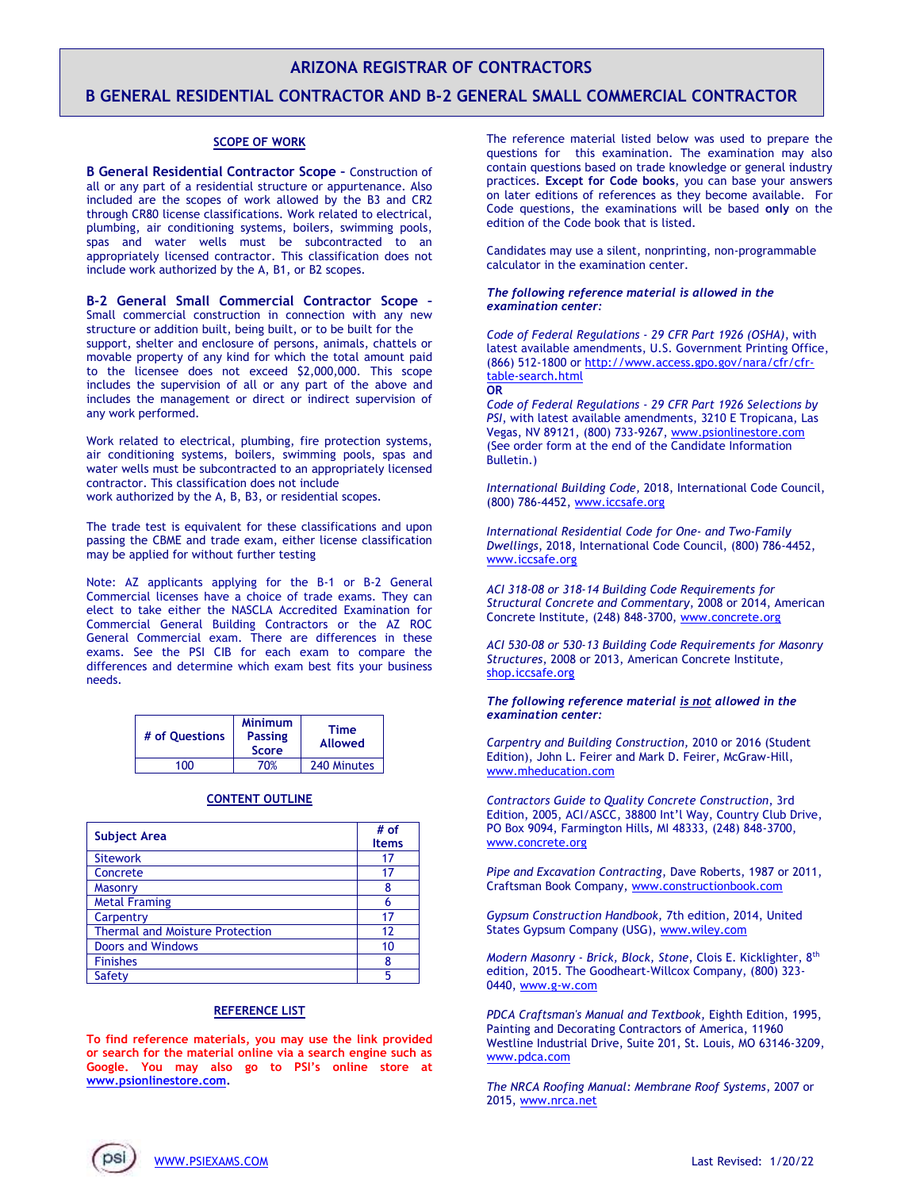# **ARIZONA REGISTRAR OF CONTRACTORS**

## **B GENERAL RESIDENTIAL CONTRACTOR AND B-2 GENERAL SMALL COMMERCIAL CONTRACTOR**

### **SCOPE OF WORK**

**B General Residential Contractor Scope –** Construction of all or any part of a residential structure or appurtenance. Also included are the scopes of work allowed by the B3 and CR2 through CR80 license classifications. Work related to electrical, plumbing, air conditioning systems, boilers, swimming pools, spas and water wells must be subcontracted to an appropriately licensed contractor. This classification does not include work authorized by the A, B1, or B2 scopes.

**B-2 General Small Commercial Contractor Scope –** Small commercial construction in connection with any new structure or addition built, being built, or to be built for the support, shelter and enclosure of persons, animals, chattels or movable property of any kind for which the total amount paid to the licensee does not exceed \$2,000,000. This scope includes the supervision of all or any part of the above and includes the management or direct or indirect supervision of any work performed.

Work related to electrical, plumbing, fire protection systems, air conditioning systems, boilers, swimming pools, spas and water wells must be subcontracted to an appropriately licensed contractor. This classification does not include work authorized by the A, B, B3, or residential scopes.

The trade test is equivalent for these classifications and upon passing the CBME and trade exam, either license classification may be applied for without further testing

Note: AZ applicants applying for the B-1 or B-2 General Commercial licenses have a choice of trade exams. They can elect to take either the NASCLA Accredited Examination for Commercial General Building Contractors or the AZ ROC General Commercial exam. There are differences in these exams. See the PSI CIB for each exam to compare the differences and determine which exam best fits your business needs.

| # of Ouestions | <b>Minimum</b><br><b>Passing</b><br><b>Score</b> | Time<br><b>Allowed</b> |
|----------------|--------------------------------------------------|------------------------|
| ınn            | 70%                                              | 240 Minutes            |

## **CONTENT OUTLINE**

| <b>Subject Area</b>                    | # of<br><b>Items</b> |
|----------------------------------------|----------------------|
| <b>Sitework</b>                        | 17                   |
| Concrete                               | 17                   |
| <b>Masonry</b>                         | 8                    |
| <b>Metal Framing</b>                   | 6                    |
| Carpentry                              | 17                   |
| <b>Thermal and Moisture Protection</b> | 12                   |
| <b>Doors and Windows</b>               | 10                   |
| <b>Finishes</b>                        | 8                    |
| Safety                                 | 5                    |

### **REFERENCE LIST**

**To find reference materials, you may use the link provided or search for the material online via a search engine such as Google. You may also go to PSI's online store at [www.psionlinestore.com.](http://www.psionlinestore.com/)**

The reference material listed below was used to prepare the questions for this examination. The examination may also contain questions based on trade knowledge or general industry practices. **Except for Code books**, you can base your answers on later editions of references as they become available. For Code questions, the examinations will be based **only** on the edition of the Code book that is listed.

Candidates may use a silent, nonprinting, non-programmable calculator in the examination center.

#### *The following reference material is allowed in the examination center:*

*Code of Federal Regulations - 29 CFR Part 1926 (OSHA)*, with latest available amendments, U.S. Government Printing Office, (866) 512-1800 or [http://www.access.gpo.gov/nara/cfr/cfr](http://www.access.gpo.gov/nara/cfr/cfr-table-search.html)[table-search.html](http://www.access.gpo.gov/nara/cfr/cfr-table-search.html) **OR** 

*Code of Federal Regulations - 29 CFR Part 1926 Selections by PSI*, with latest available amendments, 3210 E Tropicana, Las Vegas, NV 89121, (800) 733-9267, [www.psionlinestore.com](http://www.psionlinestore.com/) (See order form at the end of the Candidate Information Bulletin.)

*International Building Code,* 2018, International Code Council, (800) 786-4452[, www.iccsafe.org](http://www.iccsafe.org/) 

*International Residential Code for One- and Two-Family Dwellings*, 2018, International Code Council, (800) 786-4452, [www.iccsafe.org](http://www.iccsafe.org/) 

*ACI 318-08 or 318-14 Building Code Requirements for Structural Concrete and Commentary*, 2008 or 2014, American Concrete Institute, (248) 848-3700, [www.concrete.org](https://www.concrete.org/)

*ACI 530-08 or 530-13 Building Code Requirements for Masonry Structures*, 2008 or 2013, American Concrete Institute, [shop.iccsafe.org](http://shop.iccsafe.org/)

#### *The following reference material is not allowed in the examination center:*

*Carpentry and Building Construction,* 2010 or 2016 (Student Edition), John L. Feirer and Mark D. Feirer, McGraw-Hill, [www.mheducation.com](http://www.mheducation.com/prek-12/product/glencoe-carpentry-building-construction-student-edition-mcgraw-hill-education/0021402442.html)

*Contractors Guide to Quality Concrete Construction*, 3rd Edition, 2005, ACI/ASCC, 38800 Int'l Way, Country Club Drive, PO Box 9094, Farmington Hills, MI 48333, (248) 848-3700, [www.concrete.org](https://www.concrete.org/)

*Pipe and Excavation Contracting*, Dave Roberts, 1987 or 2011, Craftsman Book Company[, www.constructionbook.com](https://www.constructionbook.com/)

*Gypsum Construction Handbook,* 7th edition, 2014, United States Gypsum Company (USG)[, www.wiley.com](http://www.wiley.com/WileyCDA/WileyTitle/productCd-1118749847,descCd-buy.html)

*Modern Masonry - Brick, Block, Stone*, Clois E. Kicklighter, 8th edition, 2015. The Goodheart-Willcox Company, (800) 323- 0440, [www.g-w.com](http://www.g-w.com/)

*PDCA Craftsman's Manual and Textbook,* Eighth Edition, 1995, Painting and Decorating Contractors of America, 11960 Westline Industrial Drive, Suite 201, St. Louis, MO 63146-3209, [www.pdca.com](http://www.pdca.com/)

*The NRCA Roofing Manual: Membrane Roof Systems*, 2007 or 2015, [www.nrca.net](http://www.nrca.net/)